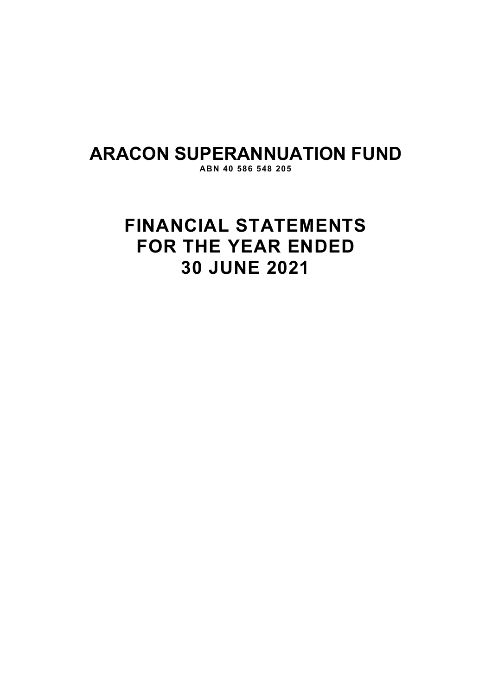# **ARACON SUPERANNUATION FUND**

**ABN 40 586 548 205** 

# **FINANCIAL STATEMENTS FOR THE YEAR ENDED 30 JUNE 2021**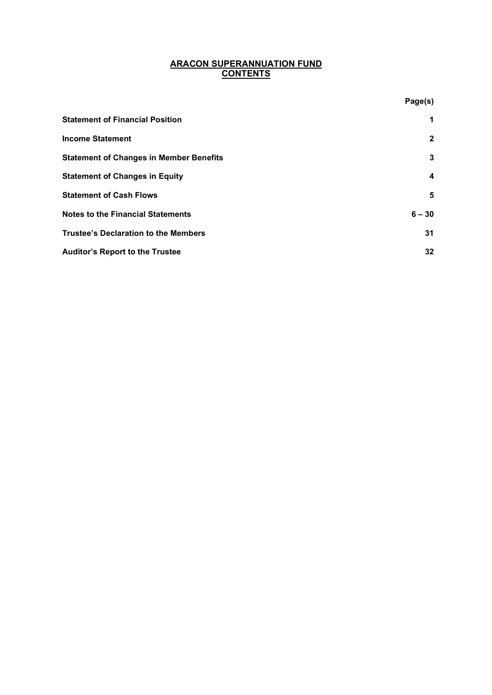# **ARACON SUPERANNUATION FUND CONTENTS**

**Page(s)**

| <b>Statement of Financial Position</b>         | $\mathbf 1$             |
|------------------------------------------------|-------------------------|
| <b>Income Statement</b>                        | $\mathbf{2}$            |
| <b>Statement of Changes in Member Benefits</b> | 3                       |
| <b>Statement of Changes in Equity</b>          | $\overline{\mathbf{4}}$ |
| <b>Statement of Cash Flows</b>                 | 5                       |
| <b>Notes to the Financial Statements</b>       | $6 - 30$                |
| <b>Trustee's Declaration to the Members</b>    | 31                      |
| <b>Auditor's Report to the Trustee</b>         | 32                      |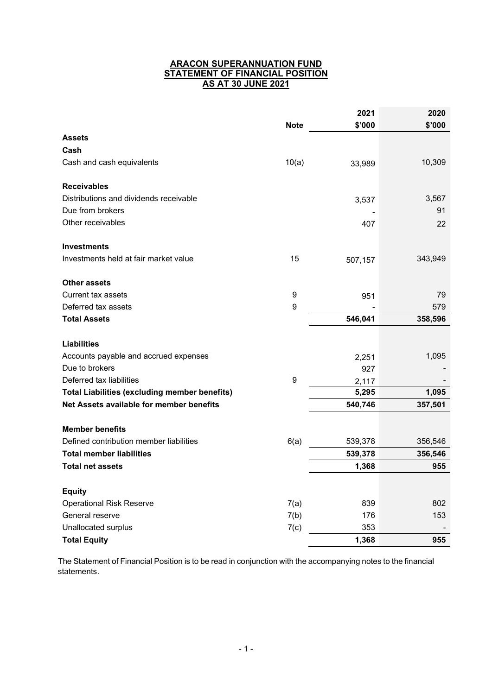# **ARACON SUPERANNUATION FUND STATEMENT OF FINANCIAL POSITION AS AT 30 JUNE 2021**

|                                                      |                  | 2021    | 2020    |
|------------------------------------------------------|------------------|---------|---------|
|                                                      | <b>Note</b>      | \$'000  | \$'000  |
| <b>Assets</b>                                        |                  |         |         |
| Cash                                                 |                  |         |         |
| Cash and cash equivalents                            | 10(a)            | 33,989  | 10,309  |
| <b>Receivables</b>                                   |                  |         |         |
| Distributions and dividends receivable               |                  | 3,537   | 3,567   |
| Due from brokers                                     |                  |         | 91      |
| Other receivables                                    |                  | 407     | 22      |
| <b>Investments</b>                                   |                  |         |         |
| Investments held at fair market value                | 15               | 507,157 | 343,949 |
| <b>Other assets</b>                                  |                  |         |         |
| <b>Current tax assets</b>                            | 9                | 951     | 79      |
| Deferred tax assets                                  | $\boldsymbol{9}$ |         | 579     |
| <b>Total Assets</b>                                  |                  | 546,041 | 358,596 |
| <b>Liabilities</b>                                   |                  |         |         |
| Accounts payable and accrued expenses                |                  | 2,251   | 1,095   |
| Due to brokers                                       |                  | 927     |         |
| Deferred tax liabilities                             | 9                | 2,117   |         |
| <b>Total Liabilities (excluding member benefits)</b> |                  | 5,295   | 1,095   |
| Net Assets available for member benefits             |                  | 540,746 | 357,501 |
| <b>Member benefits</b>                               |                  |         |         |
| Defined contribution member liabilities              | 6(a)             | 539,378 | 356,546 |
| <b>Total member liabilities</b>                      |                  | 539,378 | 356,546 |
| <b>Total net assets</b>                              |                  | 1,368   | 955     |
| <b>Equity</b>                                        |                  |         |         |
| <b>Operational Risk Reserve</b>                      | 7(a)             | 839     | 802     |
| General reserve                                      | 7(b)             | 176     | 153     |
| Unallocated surplus                                  | 7(c)             | 353     |         |
| <b>Total Equity</b>                                  |                  | 1,368   | 955     |

The Statement of Financial Position is to be read in conjunction with the accompanying notes to the financial statements.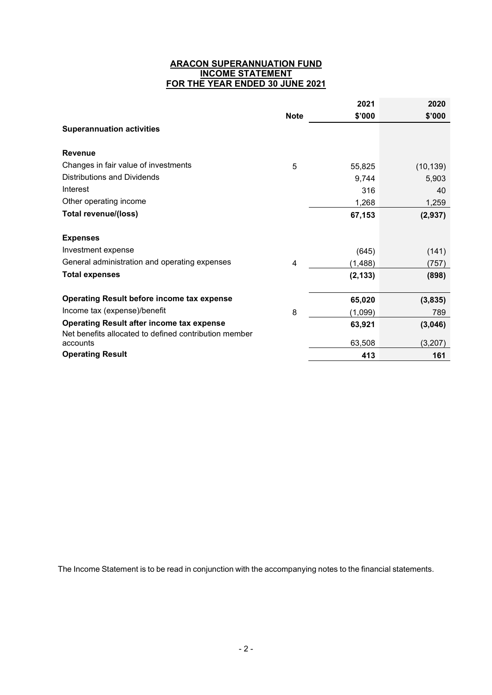# **ARACON SUPERANNUATION FUND INCOME STATEMENT FOR THE YEAR ENDED 30 JUNE 2021**

|                                                                                                           |                | 2021     | 2020      |
|-----------------------------------------------------------------------------------------------------------|----------------|----------|-----------|
|                                                                                                           | <b>Note</b>    | \$'000   | \$'000    |
| <b>Superannuation activities</b>                                                                          |                |          |           |
| <b>Revenue</b>                                                                                            |                |          |           |
| Changes in fair value of investments                                                                      | 5              | 55,825   | (10, 139) |
| Distributions and Dividends                                                                               |                | 9,744    | 5,903     |
| Interest                                                                                                  |                | 316      | 40        |
| Other operating income                                                                                    |                | 1,268    | 1,259     |
| Total revenue/(loss)                                                                                      |                | 67,153   | (2,937)   |
| <b>Expenses</b>                                                                                           |                |          |           |
| Investment expense                                                                                        |                | (645)    | (141)     |
| General administration and operating expenses                                                             | $\overline{4}$ | (1,488)  | (757)     |
| <b>Total expenses</b>                                                                                     |                | (2, 133) | (898)     |
| <b>Operating Result before income tax expense</b>                                                         |                | 65,020   | (3,835)   |
| Income tax (expense)/benefit                                                                              | 8              | (1,099)  | 789       |
| <b>Operating Result after income tax expense</b><br>Net benefits allocated to defined contribution member |                | 63,921   | (3,046)   |
| accounts                                                                                                  |                | 63,508   | (3,207)   |
| <b>Operating Result</b>                                                                                   |                | 413      | 161       |

The Income Statement is to be read in conjunction with the accompanying notes to the financial statements.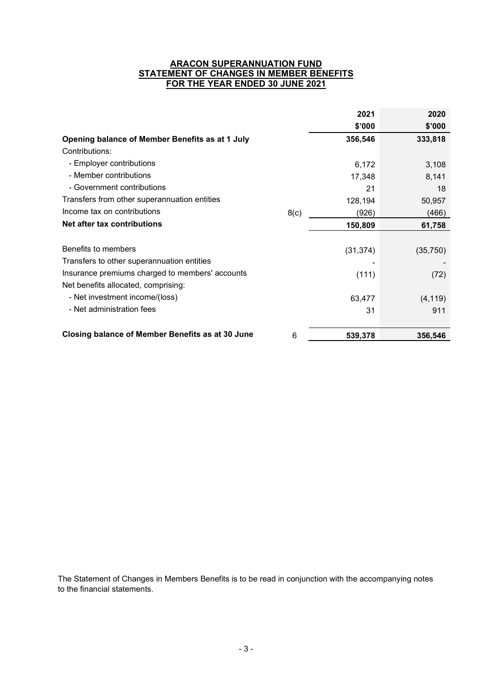# **ARACON SUPERANNUATION FUND STATEMENT OF CHANGES IN MEMBER BENEFITS FOR THE YEAR ENDED 30 JUNE 2021**

|                                                         |      | 2021      | 2020      |
|---------------------------------------------------------|------|-----------|-----------|
|                                                         |      | \$'000    | \$'000    |
| Opening balance of Member Benefits as at 1 July         |      | 356,546   | 333,818   |
| Contributions:                                          |      |           |           |
| - Employer contributions                                |      | 6,172     | 3,108     |
| - Member contributions                                  |      | 17,348    | 8,141     |
| - Government contributions                              |      | 21        | 18        |
| Transfers from other superannuation entities            |      | 128,194   | 50,957    |
| Income tax on contributions                             | 8(c) | (926)     | (466)     |
| Net after tax contributions                             |      | 150,809   | 61,758    |
|                                                         |      |           |           |
| Benefits to members                                     |      | (31, 374) | (35, 750) |
| Transfers to other superannuation entities              |      |           |           |
| Insurance premiums charged to members' accounts         |      | (111)     | (72)      |
| Net benefits allocated, comprising:                     |      |           |           |
| - Net investment income/(loss)                          |      | 63,477    | (4, 119)  |
| - Net administration fees                               |      | 31        | 911       |
| <b>Closing balance of Member Benefits as at 30 June</b> | 6    | 539,378   | 356,546   |

The Statement of Changes in Members Benefits is to be read in conjunction with the accompanying notes to the financial statements.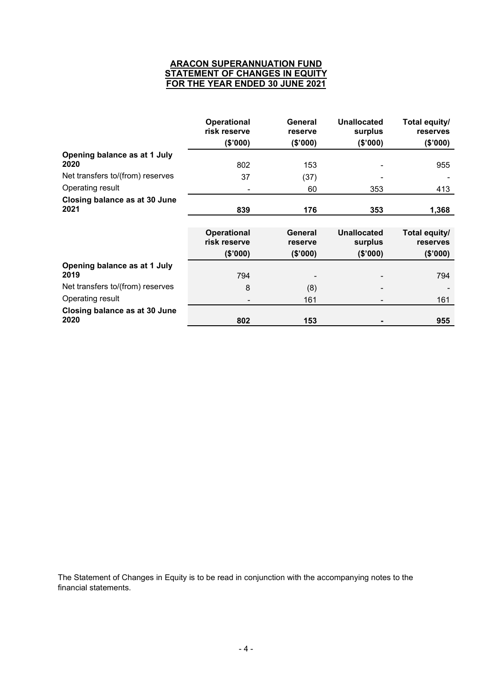# **ARACON SUPERANNUATION FUND STATEMENT OF CHANGES IN EQUITY FOR THE YEAR ENDED 30 JUNE 2021**

|                                       | <b>Operational</b><br>risk reserve | General<br>reserve | <b>Unallocated</b><br>surplus | Total equity/<br>reserves |
|---------------------------------------|------------------------------------|--------------------|-------------------------------|---------------------------|
|                                       | (\$'000)                           | (\$'000)           | (\$'000)                      | (\$000)                   |
| Opening balance as at 1 July<br>2020  | 802                                | 153                |                               | 955                       |
| Net transfers to/(from) reserves      | 37                                 | (37)               |                               |                           |
| Operating result                      |                                    | 60                 | 353                           | 413                       |
| Closing balance as at 30 June         |                                    |                    |                               |                           |
| 2021                                  | 839                                | 176                | 353                           | 1,368                     |
|                                       |                                    |                    |                               |                           |
|                                       | <b>Operational</b>                 | General            | <b>Unallocated</b>            | Total equity/             |
|                                       | risk reserve                       | reserve            | surplus                       | <b>reserves</b>           |
|                                       | (\$'000)                           | (\$'000)           | (\$'000)                      | (\$000)                   |
| Opening balance as at 1 July<br>2019  | 794                                |                    |                               | 794                       |
|                                       |                                    |                    |                               |                           |
| Net transfers to/(from) reserves      | 8                                  | (8)                |                               |                           |
| Operating result                      |                                    | 161                |                               | 161                       |
| Closing balance as at 30 June<br>2020 | 802                                | 153                |                               | 955                       |
|                                       |                                    |                    |                               |                           |

The Statement of Changes in Equity is to be read in conjunction with the accompanying notes to the financial statements.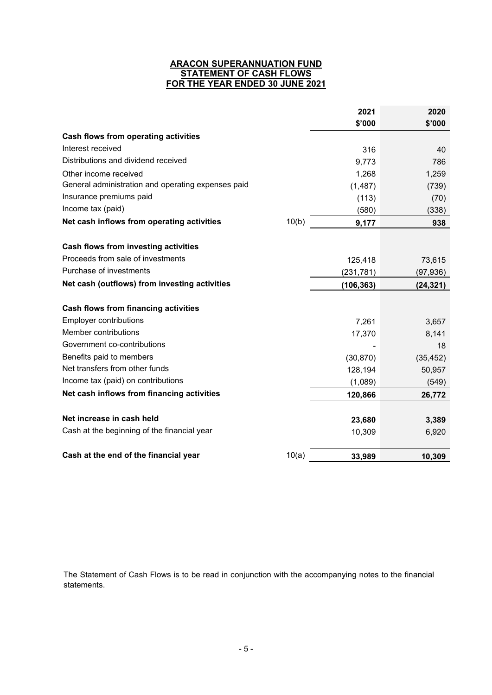# **ARACON SUPERANNUATION FUND STATEMENT OF CASH FLOWS FOR THE YEAR ENDED 30 JUNE 2021**

|                                                    |       | 2021       | 2020      |
|----------------------------------------------------|-------|------------|-----------|
|                                                    |       | \$'000     | \$'000    |
| Cash flows from operating activities               |       |            |           |
| Interest received                                  |       | 316        | 40        |
| Distributions and dividend received                |       | 9,773      | 786       |
| Other income received                              |       | 1,268      | 1,259     |
| General administration and operating expenses paid |       | (1, 487)   | (739)     |
| Insurance premiums paid                            |       | (113)      | (70)      |
| Income tax (paid)                                  |       | (580)      | (338)     |
| Net cash inflows from operating activities         | 10(b) | 9,177      | 938       |
| Cash flows from investing activities               |       |            |           |
| Proceeds from sale of investments                  |       | 125,418    | 73,615    |
| Purchase of investments                            |       | (231, 781) | (97, 936) |
| Net cash (outflows) from investing activities      |       | (106, 363) | (24, 321) |
|                                                    |       |            |           |
| Cash flows from financing activities               |       |            |           |
| <b>Employer contributions</b>                      |       | 7,261      | 3,657     |
| Member contributions                               |       | 17,370     | 8,141     |
| Government co-contributions                        |       |            | 18        |
| Benefits paid to members                           |       | (30, 870)  | (35, 452) |
| Net transfers from other funds                     |       | 128,194    | 50,957    |
| Income tax (paid) on contributions                 |       | (1,089)    | (549)     |
| Net cash inflows from financing activities         |       | 120,866    | 26,772    |
| Net increase in cash held                          |       | 23,680     | 3,389     |
| Cash at the beginning of the financial year        |       | 10,309     | 6,920     |
| Cash at the end of the financial year              | 10(a) | 33,989     | 10,309    |
|                                                    |       |            |           |

The Statement of Cash Flows is to be read in conjunction with the accompanying notes to the financial statements.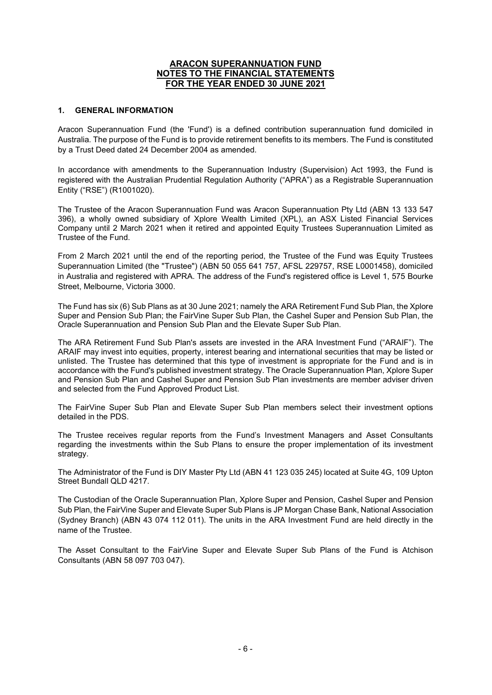#### **1. GENERAL INFORMATION**

Aracon Superannuation Fund (the 'Fund') is a defined contribution superannuation fund domiciled in Australia. The purpose of the Fund is to provide retirement benefits to its members. The Fund is constituted by a Trust Deed dated 24 December 2004 as amended.

In accordance with amendments to the Superannuation Industry (Supervision) Act 1993, the Fund is registered with the Australian Prudential Regulation Authority ("APRA") as a Registrable Superannuation Entity ("RSE") (R1001020).

The Trustee of the Aracon Superannuation Fund was Aracon Superannuation Pty Ltd (ABN 13 133 547 396), a wholly owned subsidiary of Xplore Wealth Limited (XPL), an ASX Listed Financial Services Company until 2 March 2021 when it retired and appointed Equity Trustees Superannuation Limited as Trustee of the Fund.

From 2 March 2021 until the end of the reporting period, the Trustee of the Fund was Equity Trustees Superannuation Limited (the "Trustee") (ABN 50 055 641 757, AFSL 229757, RSE L0001458), domiciled in Australia and registered with APRA. The address of the Fund's registered office is Level 1, 575 Bourke Street, Melbourne, Victoria 3000.

The Fund has six (6) Sub Plans as at 30 June 2021; namely the ARA Retirement Fund Sub Plan, the Xplore Super and Pension Sub Plan; the FairVine Super Sub Plan, the Cashel Super and Pension Sub Plan, the Oracle Superannuation and Pension Sub Plan and the Elevate Super Sub Plan.

The ARA Retirement Fund Sub Plan's assets are invested in the ARA Investment Fund ("ARAIF"). The ARAIF may invest into equities, property, interest bearing and international securities that may be listed or unlisted. The Trustee has determined that this type of investment is appropriate for the Fund and is in accordance with the Fund's published investment strategy. The Oracle Superannuation Plan, Xplore Super and Pension Sub Plan and Cashel Super and Pension Sub Plan investments are member adviser driven and selected from the Fund Approved Product List.

The FairVine Super Sub Plan and Elevate Super Sub Plan members select their investment options detailed in the PDS.

The Trustee receives regular reports from the Fund's Investment Managers and Asset Consultants regarding the investments within the Sub Plans to ensure the proper implementation of its investment strategy.

The Administrator of the Fund is DIY Master Pty Ltd (ABN 41 123 035 245) located at Suite 4G, 109 Upton Street Bundall QLD 4217.

The Custodian of the Oracle Superannuation Plan, Xplore Super and Pension, Cashel Super and Pension Sub Plan, the FairVine Super and Elevate Super Sub Plans is JP Morgan Chase Bank, National Association (Sydney Branch) (ABN 43 074 112 011). The units in the ARA Investment Fund are held directly in the name of the Trustee.

The Asset Consultant to the FairVine Super and Elevate Super Sub Plans of the Fund is Atchison Consultants (ABN 58 097 703 047).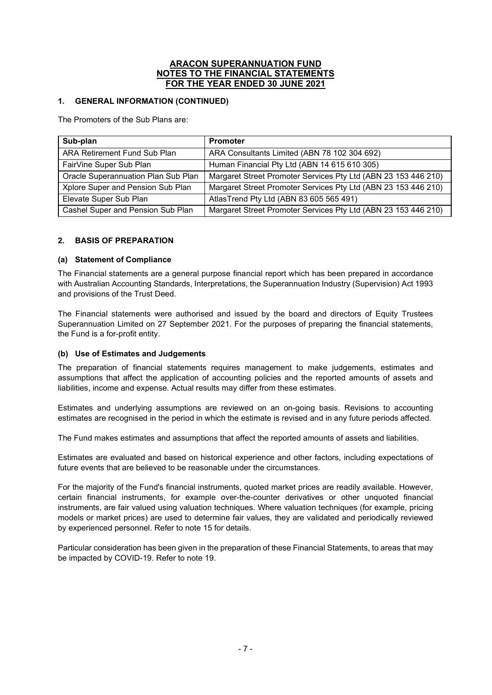# **1. GENERAL INFORMATION (CONTINUED)**

The Promoters of the Sub Plans are:

| Sub-plan                            | <b>Promoter</b>                                                |
|-------------------------------------|----------------------------------------------------------------|
| ARA Retirement Fund Sub Plan        | ARA Consultants Limited (ABN 78 102 304 692)                   |
| FairVine Super Sub Plan             | Human Financial Pty Ltd (ABN 14 615 610 305)                   |
| Oracle Superannuation Plan Sub Plan | Margaret Street Promoter Services Pty Ltd (ABN 23 153 446 210) |
| Xplore Super and Pension Sub Plan   | Margaret Street Promoter Services Pty Ltd (ABN 23 153 446 210) |
| Elevate Super Sub Plan              | AtlasTrend Pty Ltd (ABN 83 605 565 491)                        |
| Cashel Super and Pension Sub Plan   | Margaret Street Promoter Services Pty Ltd (ABN 23 153 446 210) |

# **2. BASIS OF PREPARATION**

## **(a) Statement of Compliance**

The Financial statements are a general purpose financial report which has been prepared in accordance with Australian Accounting Standards, Interpretations, the Superannuation Industry (Supervision) Act 1993 and provisions of the Trust Deed.

The Financial statements were authorised and issued by the board and directors of Equity Trustees Superannuation Limited on 27 September 2021. For the purposes of preparing the financial statements, the Fund is a for-profit entity.

## **(b) Use of Estimates and Judgements**

The preparation of financial statements requires management to make judgements, estimates and assumptions that affect the application of accounting policies and the reported amounts of assets and liabilities, income and expense. Actual results may differ from these estimates.

Estimates and underlying assumptions are reviewed on an on-going basis. Revisions to accounting estimates are recognised in the period in which the estimate is revised and in any future periods affected.

The Fund makes estimates and assumptions that affect the reported amounts of assets and liabilities.

Estimates are evaluated and based on historical experience and other factors, including expectations of future events that are believed to be reasonable under the circumstances.

For the majority of the Fund's financial instruments, quoted market prices are readily available. However, certain financial instruments, for example over-the-counter derivatives or other unquoted financial instruments, are fair valued using valuation techniques. Where valuation techniques (for example, pricing models or market prices) are used to determine fair values, they are validated and periodically reviewed by experienced personnel. Refer to note 15 for details.

Particular consideration has been given in the preparation of these Financial Statements, to areas that may be impacted by COVID-19. Refer to note 19.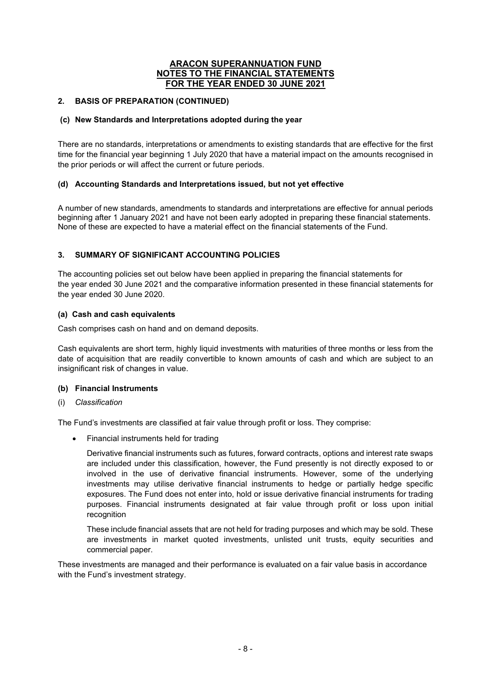## **2. BASIS OF PREPARATION (CONTINUED)**

## **(c) New Standards and Interpretations adopted during the year**

There are no standards, interpretations or amendments to existing standards that are effective for the first time for the financial year beginning 1 July 2020 that have a material impact on the amounts recognised in the prior periods or will affect the current or future periods.

# **(d) Accounting Standards and Interpretations issued, but not yet effective**

A number of new standards, amendments to standards and interpretations are effective for annual periods beginning after 1 January 2021 and have not been early adopted in preparing these financial statements. None of these are expected to have a material effect on the financial statements of the Fund.

# **3. SUMMARY OF SIGNIFICANT ACCOUNTING POLICIES**

The accounting policies set out below have been applied in preparing the financial statements for the year ended 30 June 2021 and the comparative information presented in these financial statements for the year ended 30 June 2020.

## **(a) Cash and cash equivalents**

Cash comprises cash on hand and on demand deposits.

Cash equivalents are short term, highly liquid investments with maturities of three months or less from the date of acquisition that are readily convertible to known amounts of cash and which are subject to an insignificant risk of changes in value.

## **(b) Financial Instruments**

(i) *Classification* 

The Fund's investments are classified at fair value through profit or loss. They comprise:

Financial instruments held for trading

Derivative financial instruments such as futures, forward contracts, options and interest rate swaps are included under this classification, however, the Fund presently is not directly exposed to or involved in the use of derivative financial instruments. However, some of the underlying investments may utilise derivative financial instruments to hedge or partially hedge specific exposures. The Fund does not enter into, hold or issue derivative financial instruments for trading purposes. Financial instruments designated at fair value through profit or loss upon initial recognition

These include financial assets that are not held for trading purposes and which may be sold. These are investments in market quoted investments, unlisted unit trusts, equity securities and commercial paper.

These investments are managed and their performance is evaluated on a fair value basis in accordance with the Fund's investment strategy.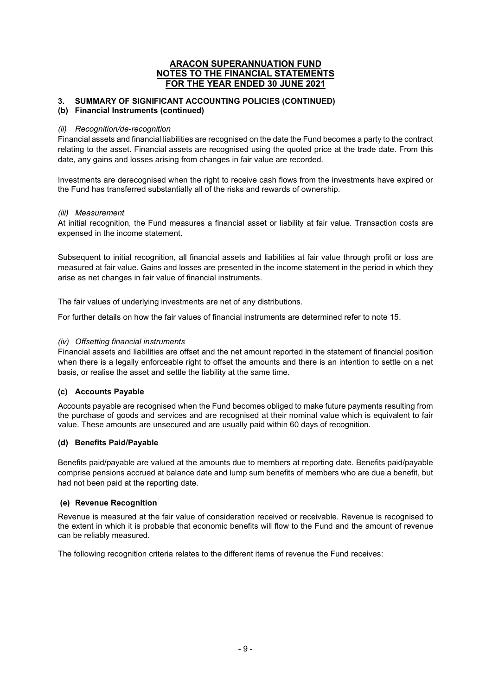# **3. SUMMARY OF SIGNIFICANT ACCOUNTING POLICIES (CONTINUED)**

#### **(b) Financial Instruments (continued)**

#### *(ii) Recognition/de-recognition*

Financial assets and financial liabilities are recognised on the date the Fund becomes a party to the contract relating to the asset. Financial assets are recognised using the quoted price at the trade date. From this date, any gains and losses arising from changes in fair value are recorded.

Investments are derecognised when the right to receive cash flows from the investments have expired or the Fund has transferred substantially all of the risks and rewards of ownership.

#### *(iii) Measurement*

At initial recognition, the Fund measures a financial asset or liability at fair value. Transaction costs are expensed in the income statement.

Subsequent to initial recognition, all financial assets and liabilities at fair value through profit or loss are measured at fair value. Gains and losses are presented in the income statement in the period in which they arise as net changes in fair value of financial instruments.

The fair values of underlying investments are net of any distributions.

For further details on how the fair values of financial instruments are determined refer to note 15.

#### *(iv) Offsetting financial instruments*

Financial assets and liabilities are offset and the net amount reported in the statement of financial position when there is a legally enforceable right to offset the amounts and there is an intention to settle on a net basis, or realise the asset and settle the liability at the same time.

## **(c) Accounts Payable**

Accounts payable are recognised when the Fund becomes obliged to make future payments resulting from the purchase of goods and services and are recognised at their nominal value which is equivalent to fair value. These amounts are unsecured and are usually paid within 60 days of recognition.

## **(d) Benefits Paid/Payable**

Benefits paid/payable are valued at the amounts due to members at reporting date. Benefits paid/payable comprise pensions accrued at balance date and lump sum benefits of members who are due a benefit, but had not been paid at the reporting date.

## **(e) Revenue Recognition**

Revenue is measured at the fair value of consideration received or receivable. Revenue is recognised to the extent in which it is probable that economic benefits will flow to the Fund and the amount of revenue can be reliably measured.

The following recognition criteria relates to the different items of revenue the Fund receives: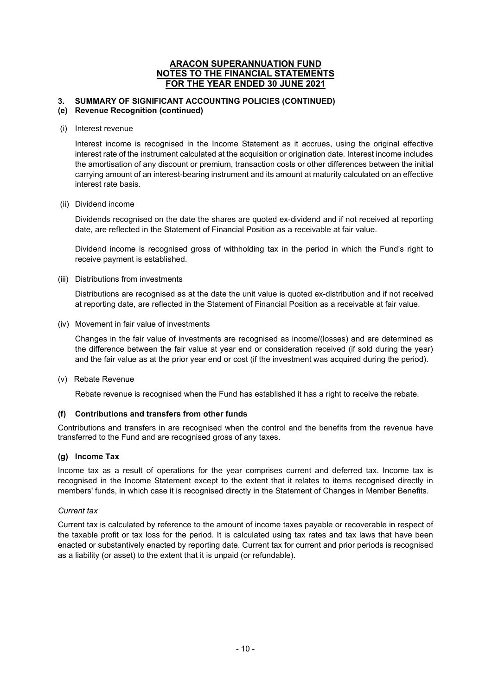# **3. SUMMARY OF SIGNIFICANT ACCOUNTING POLICIES (CONTINUED)**

## **(e) Revenue Recognition (continued)**

(i) Interest revenue

Interest income is recognised in the Income Statement as it accrues, using the original effective interest rate of the instrument calculated at the acquisition or origination date. Interest income includes the amortisation of any discount or premium, transaction costs or other differences between the initial carrying amount of an interest-bearing instrument and its amount at maturity calculated on an effective interest rate basis.

#### (ii) Dividend income

Dividends recognised on the date the shares are quoted ex-dividend and if not received at reporting date, are reflected in the Statement of Financial Position as a receivable at fair value.

Dividend income is recognised gross of withholding tax in the period in which the Fund's right to receive payment is established.

#### (iii) Distributions from investments

Distributions are recognised as at the date the unit value is quoted ex-distribution and if not received at reporting date, are reflected in the Statement of Financial Position as a receivable at fair value.

(iv) Movement in fair value of investments

Changes in the fair value of investments are recognised as income/(losses) and are determined as the difference between the fair value at year end or consideration received (if sold during the year) and the fair value as at the prior year end or cost (if the investment was acquired during the period).

(v) Rebate Revenue

Rebate revenue is recognised when the Fund has established it has a right to receive the rebate.

## **(f) Contributions and transfers from other funds**

Contributions and transfers in are recognised when the control and the benefits from the revenue have transferred to the Fund and are recognised gross of any taxes.

## **(g) Income Tax**

Income tax as a result of operations for the year comprises current and deferred tax. Income tax is recognised in the Income Statement except to the extent that it relates to items recognised directly in members' funds, in which case it is recognised directly in the Statement of Changes in Member Benefits.

## *Current tax*

Current tax is calculated by reference to the amount of income taxes payable or recoverable in respect of the taxable profit or tax loss for the period. It is calculated using tax rates and tax laws that have been enacted or substantively enacted by reporting date. Current tax for current and prior periods is recognised as a liability (or asset) to the extent that it is unpaid (or refundable).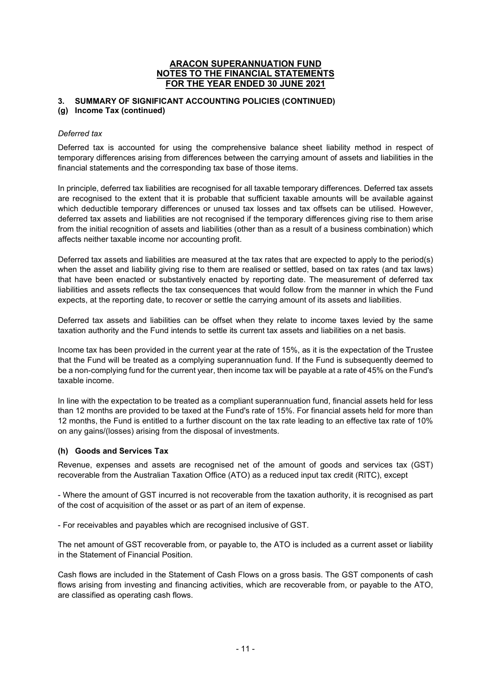# **3. SUMMARY OF SIGNIFICANT ACCOUNTING POLICIES (CONTINUED)**

#### **(g) Income Tax (continued)**

#### *Deferred tax*

Deferred tax is accounted for using the comprehensive balance sheet liability method in respect of temporary differences arising from differences between the carrying amount of assets and liabilities in the financial statements and the corresponding tax base of those items.

In principle, deferred tax liabilities are recognised for all taxable temporary differences. Deferred tax assets are recognised to the extent that it is probable that sufficient taxable amounts will be available against which deductible temporary differences or unused tax losses and tax offsets can be utilised. However, deferred tax assets and liabilities are not recognised if the temporary differences giving rise to them arise from the initial recognition of assets and liabilities (other than as a result of a business combination) which affects neither taxable income nor accounting profit.

Deferred tax assets and liabilities are measured at the tax rates that are expected to apply to the period(s) when the asset and liability giving rise to them are realised or settled, based on tax rates (and tax laws) that have been enacted or substantively enacted by reporting date. The measurement of deferred tax liabilities and assets reflects the tax consequences that would follow from the manner in which the Fund expects, at the reporting date, to recover or settle the carrying amount of its assets and liabilities.

Deferred tax assets and liabilities can be offset when they relate to income taxes levied by the same taxation authority and the Fund intends to settle its current tax assets and liabilities on a net basis.

Income tax has been provided in the current year at the rate of 15%, as it is the expectation of the Trustee that the Fund will be treated as a complying superannuation fund. If the Fund is subsequently deemed to be a non-complying fund for the current year, then income tax will be payable at a rate of 45% on the Fund's taxable income.

In line with the expectation to be treated as a compliant superannuation fund, financial assets held for less than 12 months are provided to be taxed at the Fund's rate of 15%. For financial assets held for more than 12 months, the Fund is entitled to a further discount on the tax rate leading to an effective tax rate of 10% on any gains/(losses) arising from the disposal of investments.

## **(h) Goods and Services Tax**

Revenue, expenses and assets are recognised net of the amount of goods and services tax (GST) recoverable from the Australian Taxation Office (ATO) as a reduced input tax credit (RITC), except

- Where the amount of GST incurred is not recoverable from the taxation authority, it is recognised as part of the cost of acquisition of the asset or as part of an item of expense.

- For receivables and payables which are recognised inclusive of GST.

The net amount of GST recoverable from, or payable to, the ATO is included as a current asset or liability in the Statement of Financial Position.

Cash flows are included in the Statement of Cash Flows on a gross basis. The GST components of cash flows arising from investing and financing activities, which are recoverable from, or payable to the ATO, are classified as operating cash flows.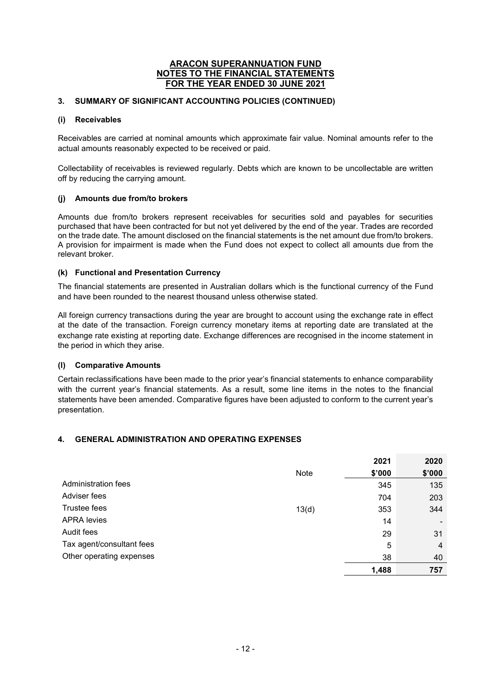# **3. SUMMARY OF SIGNIFICANT ACCOUNTING POLICIES (CONTINUED)**

## **(i) Receivables**

Receivables are carried at nominal amounts which approximate fair value. Nominal amounts refer to the actual amounts reasonably expected to be received or paid.

Collectability of receivables is reviewed regularly. Debts which are known to be uncollectable are written off by reducing the carrying amount.

## **(j) Amounts due from/to brokers**

Amounts due from/to brokers represent receivables for securities sold and payables for securities purchased that have been contracted for but not yet delivered by the end of the year. Trades are recorded on the trade date. The amount disclosed on the financial statements is the net amount due from/to brokers. A provision for impairment is made when the Fund does not expect to collect all amounts due from the relevant broker.

## **(k) Functional and Presentation Currency**

The financial statements are presented in Australian dollars which is the functional currency of the Fund and have been rounded to the nearest thousand unless otherwise stated.

All foreign currency transactions during the year are brought to account using the exchange rate in effect at the date of the transaction. Foreign currency monetary items at reporting date are translated at the exchange rate existing at reporting date. Exchange differences are recognised in the income statement in the period in which they arise.

#### **(l) Comparative Amounts**

Certain reclassifications have been made to the prior year's financial statements to enhance comparability with the current year's financial statements. As a result, some line items in the notes to the financial statements have been amended. Comparative figures have been adjusted to conform to the current year's presentation.

## **4. GENERAL ADMINISTRATION AND OPERATING EXPENSES**

|                           |       | 2021   | 2020           |
|---------------------------|-------|--------|----------------|
|                           | Note  | \$'000 | \$'000         |
| Administration fees       |       | 345    | 135            |
| Adviser fees              |       | 704    | 203            |
| Trustee fees              | 13(d) | 353    | 344            |
| <b>APRA</b> levies        |       | 14     |                |
| Audit fees                |       | 29     | 31             |
| Tax agent/consultant fees |       | 5      | $\overline{4}$ |
| Other operating expenses  |       | 38     | 40             |
|                           |       | 1,488  | 757            |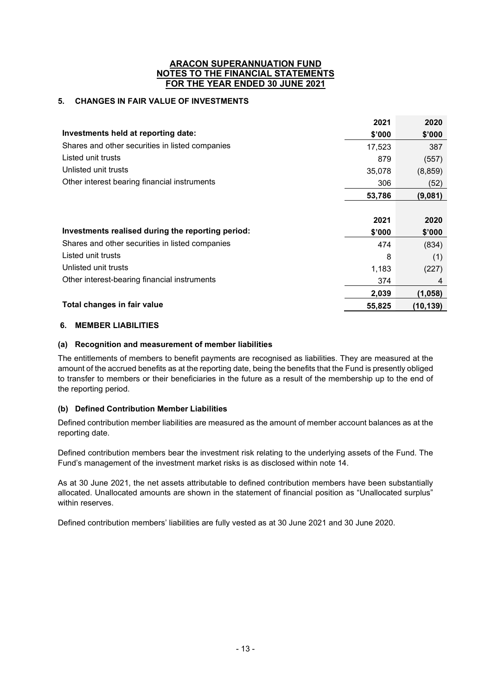# **5. CHANGES IN FAIR VALUE OF INVESTMENTS**

|                                                   | 2021   | 2020     |
|---------------------------------------------------|--------|----------|
| Investments held at reporting date:               | \$'000 | \$'000   |
| Shares and other securities in listed companies   | 17,523 | 387      |
| Listed unit trusts                                | 879    | (557)    |
| Unlisted unit trusts                              | 35,078 | (8, 859) |
| Other interest bearing financial instruments      | 306    | (52)     |
|                                                   | 53,786 | (9,081)  |
|                                                   |        |          |
|                                                   |        |          |
|                                                   | 2021   | 2020     |
| Investments realised during the reporting period: | \$'000 | \$'000   |
| Shares and other securities in listed companies   | 474    | (834)    |
| Listed unit trusts                                | 8      | (1)      |
| Unlisted unit trusts                              | 1,183  | (227)    |
| Other interest-bearing financial instruments      | 374    | 4        |
|                                                   | 2,039  | (1,058)  |

## **6. MEMBER LIABILITIES**

## **(a) Recognition and measurement of member liabilities**

The entitlements of members to benefit payments are recognised as liabilities. They are measured at the amount of the accrued benefits as at the reporting date, being the benefits that the Fund is presently obliged to transfer to members or their beneficiaries in the future as a result of the membership up to the end of the reporting period.

## **(b) Defined Contribution Member Liabilities**

Defined contribution member liabilities are measured as the amount of member account balances as at the reporting date.

Defined contribution members bear the investment risk relating to the underlying assets of the Fund. The Fund's management of the investment market risks is as disclosed within note 14.

As at 30 June 2021, the net assets attributable to defined contribution members have been substantially allocated. Unallocated amounts are shown in the statement of financial position as "Unallocated surplus" within reserves.

Defined contribution members' liabilities are fully vested as at 30 June 2021 and 30 June 2020.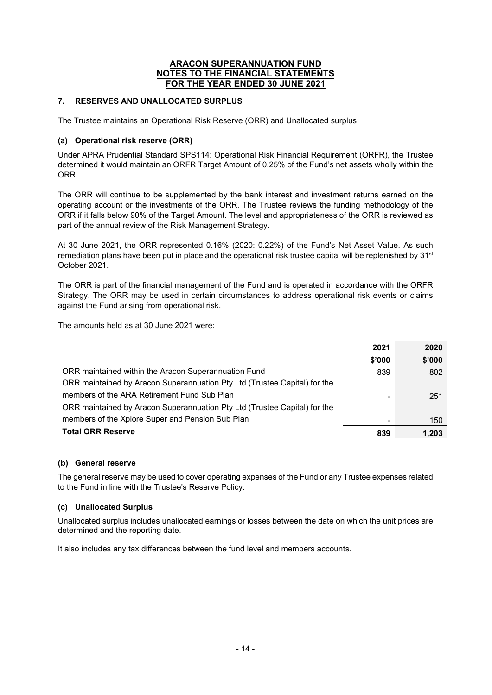# **7. RESERVES AND UNALLOCATED SURPLUS**

The Trustee maintains an Operational Risk Reserve (ORR) and Unallocated surplus

## **(a) Operational risk reserve (ORR)**

Under APRA Prudential Standard SPS114: Operational Risk Financial Requirement (ORFR), the Trustee determined it would maintain an ORFR Target Amount of 0.25% of the Fund's net assets wholly within the ORR.

The ORR will continue to be supplemented by the bank interest and investment returns earned on the operating account or the investments of the ORR. The Trustee reviews the funding methodology of the ORR if it falls below 90% of the Target Amount. The level and appropriateness of the ORR is reviewed as part of the annual review of the Risk Management Strategy.

At 30 June 2021, the ORR represented 0.16% (2020: 0.22%) of the Fund's Net Asset Value. As such remediation plans have been put in place and the operational risk trustee capital will be replenished by 31<sup>st</sup> October 2021.

The ORR is part of the financial management of the Fund and is operated in accordance with the ORFR Strategy. The ORR may be used in certain circumstances to address operational risk events or claims against the Fund arising from operational risk.

The amounts held as at 30 June 2021 were:

|                                                                           | 2021   | 2020   |
|---------------------------------------------------------------------------|--------|--------|
|                                                                           | \$'000 | \$'000 |
| ORR maintained within the Aracon Superannuation Fund                      | 839    | 802    |
| ORR maintained by Aracon Superannuation Pty Ltd (Trustee Capital) for the |        |        |
| members of the ARA Retirement Fund Sub Plan                               |        | 251    |
| ORR maintained by Aracon Superannuation Pty Ltd (Trustee Capital) for the |        |        |
| members of the Xplore Super and Pension Sub Plan                          |        | 150    |
| <b>Total ORR Reserve</b>                                                  | 839    | 1.203  |

## **(b) General reserve**

The general reserve may be used to cover operating expenses of the Fund or any Trustee expenses related to the Fund in line with the Trustee's Reserve Policy.

## **(c) Unallocated Surplus**

Unallocated surplus includes unallocated earnings or losses between the date on which the unit prices are determined and the reporting date.

It also includes any tax differences between the fund level and members accounts.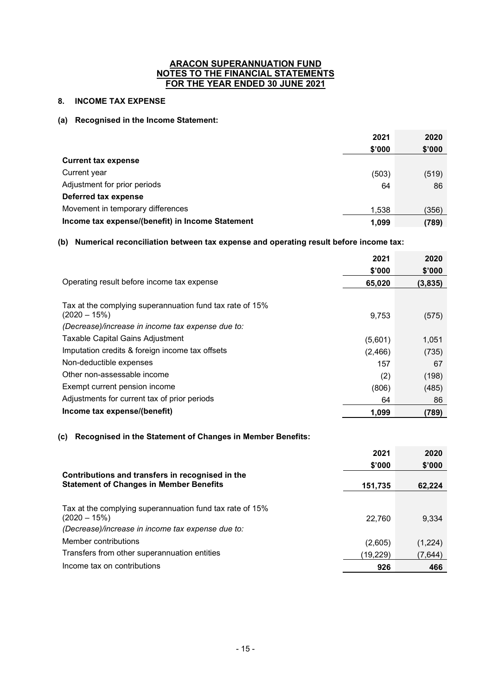# **8. INCOME TAX EXPENSE**

#### **(a) Recognised in the Income Statement:**

|                                                  | 2021   | 2020   |
|--------------------------------------------------|--------|--------|
|                                                  | \$'000 | \$'000 |
| <b>Current tax expense</b>                       |        |        |
| Current year                                     | (503)  | (519)  |
| Adjustment for prior periods                     | 64     | 86     |
| Deferred tax expense                             |        |        |
| Movement in temporary differences                | 1,538  | (356)  |
| Income tax expense/(benefit) in Income Statement | 1.099  | (789)  |

# **(b) Numerical reconciliation between tax expense and operating result before income tax:**

|                                                                            | 2021<br>\$'000 | 2020<br>\$'000 |
|----------------------------------------------------------------------------|----------------|----------------|
| Operating result before income tax expense                                 | 65,020         | (3,835)        |
| Tax at the complying superannuation fund tax rate of 15%<br>$(2020 - 15%)$ | 9,753          | (575)          |
| (Decrease)/increase in income tax expense due to:                          |                |                |
| <b>Taxable Capital Gains Adjustment</b>                                    | (5,601)        | 1,051          |
| Imputation credits & foreign income tax offsets                            | (2,466)        | (735)          |
| Non-deductible expenses                                                    | 157            | 67             |
| Other non-assessable income                                                | (2)            | (198)          |
| Exempt current pension income                                              | (806)          | (485)          |
| Adjustments for current tax of prior periods                               | 64             | 86             |
| Income tax expense/(benefit)                                               | 1,099          | (789)          |

## **(c) Recognised in the Statement of Changes in Member Benefits:**

|                                                          | 2021     | 2020    |
|----------------------------------------------------------|----------|---------|
|                                                          | \$'000   | \$'000  |
| Contributions and transfers in recognised in the         |          |         |
| <b>Statement of Changes in Member Benefits</b>           | 151,735  | 62.224  |
|                                                          |          |         |
| Tax at the complying superannuation fund tax rate of 15% |          |         |
| $(2020 - 15%)$                                           | 22,760   | 9,334   |
| (Decrease)/increase in income tax expense due to:        |          |         |
| Member contributions                                     | (2,605)  | (1,224) |
| Transfers from other superannuation entities             | (19,229) | (7,644) |
| Income tax on contributions                              | 926      | 466     |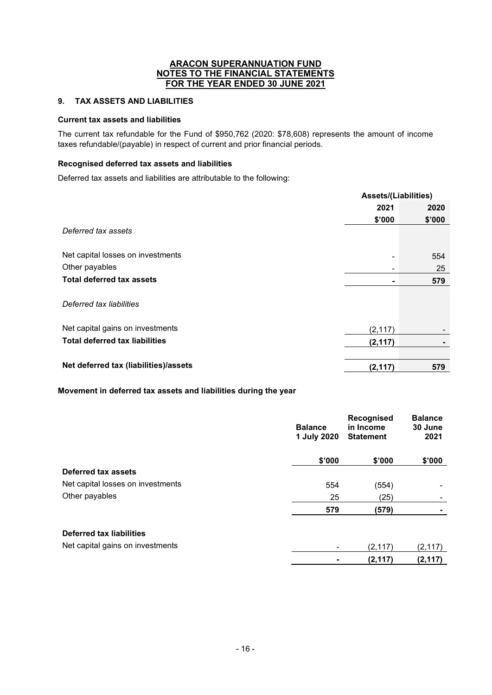# **9. TAX ASSETS AND LIABILITIES**

#### **Current tax assets and liabilities**

The current tax refundable for the Fund of \$950,762 (2020: \$78,608) represents the amount of income taxes refundable/(payable) in respect of current and prior financial periods.

#### **Recognised deferred tax assets and liabilities**

Deferred tax assets and liabilities are attributable to the following:

|                                       |          | <b>Assets/(Liabilities)</b> |  |
|---------------------------------------|----------|-----------------------------|--|
|                                       | 2021     | 2020                        |  |
|                                       | \$'000   | \$'000                      |  |
| Deferred tax assets                   |          |                             |  |
| Net capital losses on investments     | ۰        | 554                         |  |
| Other payables                        |          | 25                          |  |
| <b>Total deferred tax assets</b>      | ۰        | 579                         |  |
| Deferred tax liabilities              |          |                             |  |
| Net capital gains on investments      | (2, 117) |                             |  |
| <b>Total deferred tax liabilities</b> | (2, 117) |                             |  |
|                                       |          |                             |  |
| Net deferred tax (liabilities)/assets | (2, 117) | 579                         |  |

# **Movement in deferred tax assets and liabilities during the year**

| 1 July 2020<br>2021<br><b>Statement</b>           |          |
|---------------------------------------------------|----------|
| \$'000<br>\$'000                                  | \$'000   |
| Deferred tax assets                               |          |
| Net capital losses on investments<br>554<br>(554) | ٠        |
| Other payables<br>25<br>(25)                      |          |
| 579<br>(579)                                      |          |
| <b>Deferred tax liabilities</b>                   |          |
| Net capital gains on investments<br>(2, 117)<br>٠ | (2, 117) |
| (2, 117)                                          | (2, 117) |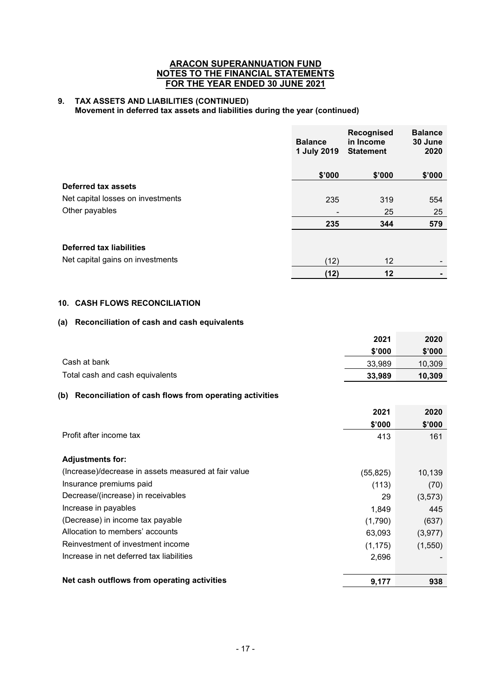#### **9. TAX ASSETS AND LIABILITIES (CONTINUED) Movement in deferred tax assets and liabilities during the year (continued)**

|                                   | <b>Balance</b><br>1 July 2019 | <b>Recognised</b><br>in Income<br><b>Statement</b> | <b>Balance</b><br>30 June<br>2020 |
|-----------------------------------|-------------------------------|----------------------------------------------------|-----------------------------------|
|                                   | \$'000                        | \$'000                                             | \$'000                            |
| Deferred tax assets               |                               |                                                    |                                   |
| Net capital losses on investments | 235                           | 319                                                | 554                               |
| Other payables                    | $\overline{\phantom{0}}$      | 25                                                 | 25                                |
|                                   | 235                           | 344                                                | 579                               |
| Deferred tax liabilities          |                               |                                                    |                                   |
| Net capital gains on investments  | (12)                          | $12 \overline{ }$                                  |                                   |
|                                   | (12)                          | 12                                                 |                                   |

# **10. CASH FLOWS RECONCILIATION**

## **(a) Reconciliation of cash and cash equivalents**

|                                                               | 2021<br>\$'000 | 2020<br>\$'000 |
|---------------------------------------------------------------|----------------|----------------|
| Cash at bank                                                  | 33,989         | 10,309         |
| Total cash and cash equivalents                               | 33,989         | 10,309         |
| Reconciliation of cash flows from operating activities<br>(b) |                |                |
|                                                               | 2021           | 2020           |
|                                                               | \$'000         | \$'000         |
| Profit after income tax                                       | 413            | 161            |
| <b>Adjustments for:</b>                                       |                |                |
| (Increase)/decrease in assets measured at fair value          | (55, 825)      | 10,139         |
| Insurance premiums paid                                       | (113)          | (70)           |
| Decrease/(increase) in receivables                            | 29             | (3,573)        |
| Increase in payables                                          | 1,849          | 445            |
| (Decrease) in income tax payable                              | (1,790)        | (637)          |
| Allocation to members' accounts                               | 63,093         | (3, 977)       |
| Reinvestment of investment income                             | (1, 175)       | (1,550)        |
| Increase in net deferred tax liabilities                      | 2,696          |                |
|                                                               |                |                |
| Net cash outflows from operating activities                   | 9,177          | 938            |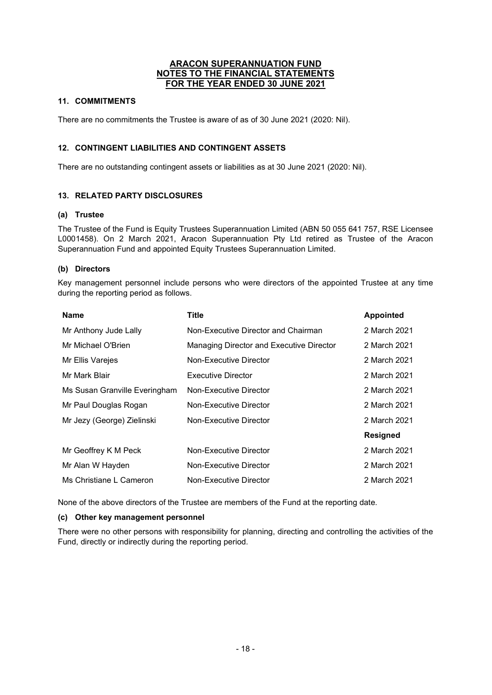# **11. COMMITMENTS**

There are no commitments the Trustee is aware of as of 30 June 2021 (2020: Nil).

# **12. CONTINGENT LIABILITIES AND CONTINGENT ASSETS**

There are no outstanding contingent assets or liabilities as at 30 June 2021 (2020: Nil).

# **13. RELATED PARTY DISCLOSURES**

## **(a) Trustee**

The Trustee of the Fund is Equity Trustees Superannuation Limited (ABN 50 055 641 757, RSE Licensee L0001458). On 2 March 2021, Aracon Superannuation Pty Ltd retired as Trustee of the Aracon Superannuation Fund and appointed Equity Trustees Superannuation Limited.

## **(b) Directors**

Key management personnel include persons who were directors of the appointed Trustee at any time during the reporting period as follows.

| <b>Name</b>                   | <b>Title</b>                             | <b>Appointed</b> |
|-------------------------------|------------------------------------------|------------------|
| Mr Anthony Jude Lally         | Non-Executive Director and Chairman      | 2 March 2021     |
| Mr Michael O'Brien            | Managing Director and Executive Director | 2 March 2021     |
| Mr Ellis Varejes              | Non-Executive Director                   | 2 March 2021     |
| Mr Mark Blair                 | Executive Director                       | 2 March 2021     |
| Ms Susan Granville Everingham | Non-Executive Director                   | 2 March 2021     |
| Mr Paul Douglas Rogan         | Non-Executive Director                   | 2 March 2021     |
| Mr Jezy (George) Zielinski    | Non-Executive Director                   | 2 March 2021     |
|                               |                                          | <b>Resigned</b>  |
| Mr Geoffrey K M Peck          | Non-Executive Director                   | 2 March 2021     |
| Mr Alan W Hayden              | Non-Executive Director                   | 2 March 2021     |
| Ms Christiane L Cameron       | Non-Executive Director                   | 2 March 2021     |

None of the above directors of the Trustee are members of the Fund at the reporting date.

## **(c) Other key management personnel**

There were no other persons with responsibility for planning, directing and controlling the activities of the Fund, directly or indirectly during the reporting period.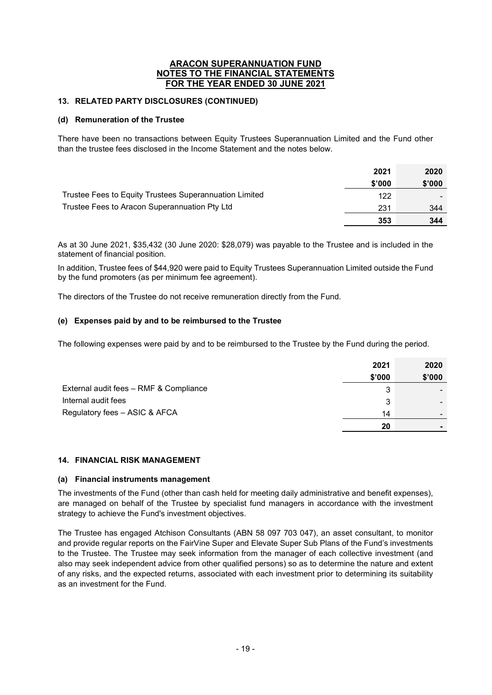# **13. RELATED PARTY DISCLOSURES (CONTINUED)**

#### **(d) Remuneration of the Trustee**

There have been no transactions between Equity Trustees Superannuation Limited and the Fund other than the trustee fees disclosed in the Income Statement and the notes below.

|                                                        | 2021   | 2020   |
|--------------------------------------------------------|--------|--------|
|                                                        | \$'000 | \$'000 |
| Trustee Fees to Equity Trustees Superannuation Limited | 122    |        |
| Trustee Fees to Aracon Superannuation Pty Ltd          | 231    | 344    |
|                                                        | 353    | 344    |

As at 30 June 2021, \$35,432 (30 June 2020: \$28,079) was payable to the Trustee and is included in the statement of financial position.

In addition, Trustee fees of \$44,920 were paid to Equity Trustees Superannuation Limited outside the Fund by the fund promoters (as per minimum fee agreement).

The directors of the Trustee do not receive remuneration directly from the Fund.

# **(e) Expenses paid by and to be reimbursed to the Trustee**

The following expenses were paid by and to be reimbursed to the Trustee by the Fund during the period.

|                                        | 2021   | 2020   |
|----------------------------------------|--------|--------|
|                                        | \$'000 | \$'000 |
| External audit fees - RMF & Compliance | 3      |        |
| Internal audit fees                    | 3      |        |
| Regulatory fees - ASIC & AFCA          | 14     |        |
|                                        | 20     |        |

## **14. FINANCIAL RISK MANAGEMENT**

#### **(a) Financial instruments management**

The investments of the Fund (other than cash held for meeting daily administrative and benefit expenses), are managed on behalf of the Trustee by specialist fund managers in accordance with the investment strategy to achieve the Fund's investment objectives.

The Trustee has engaged Atchison Consultants (ABN 58 097 703 047), an asset consultant, to monitor and provide regular reports on the FairVine Super and Elevate Super Sub Plans of the Fund's investments to the Trustee. The Trustee may seek information from the manager of each collective investment (and also may seek independent advice from other qualified persons) so as to determine the nature and extent of any risks, and the expected returns, associated with each investment prior to determining its suitability as an investment for the Fund.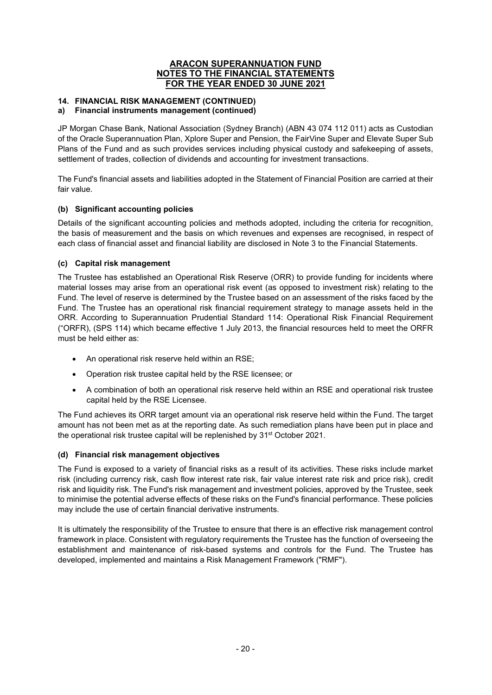# **14. FINANCIAL RISK MANAGEMENT (CONTINUED)**

#### **a) Financial instruments management (continued)**

JP Morgan Chase Bank, National Association (Sydney Branch) (ABN 43 074 112 011) acts as Custodian of the Oracle Superannuation Plan, Xplore Super and Pension, the FairVine Super and Elevate Super Sub Plans of the Fund and as such provides services including physical custody and safekeeping of assets, settlement of trades, collection of dividends and accounting for investment transactions.

The Fund's financial assets and liabilities adopted in the Statement of Financial Position are carried at their fair value.

## **(b) Significant accounting policies**

Details of the significant accounting policies and methods adopted, including the criteria for recognition, the basis of measurement and the basis on which revenues and expenses are recognised, in respect of each class of financial asset and financial liability are disclosed in Note 3 to the Financial Statements.

#### **(c) Capital risk management**

The Trustee has established an Operational Risk Reserve (ORR) to provide funding for incidents where material losses may arise from an operational risk event (as opposed to investment risk) relating to the Fund. The level of reserve is determined by the Trustee based on an assessment of the risks faced by the Fund. The Trustee has an operational risk financial requirement strategy to manage assets held in the ORR. According to Superannuation Prudential Standard 114: Operational Risk Financial Requirement ("ORFR), (SPS 114) which became effective 1 July 2013, the financial resources held to meet the ORFR must be held either as:

- An operational risk reserve held within an RSE;
- Operation risk trustee capital held by the RSE licensee; or
- A combination of both an operational risk reserve held within an RSE and operational risk trustee capital held by the RSE Licensee.

The Fund achieves its ORR target amount via an operational risk reserve held within the Fund. The target amount has not been met as at the reporting date. As such remediation plans have been put in place and the operational risk trustee capital will be replenished by 31st October 2021.

## **(d) Financial risk management objectives**

The Fund is exposed to a variety of financial risks as a result of its activities. These risks include market risk (including currency risk, cash flow interest rate risk, fair value interest rate risk and price risk), credit risk and liquidity risk. The Fund's risk management and investment policies, approved by the Trustee, seek to minimise the potential adverse effects of these risks on the Fund's financial performance. These policies may include the use of certain financial derivative instruments.

It is ultimately the responsibility of the Trustee to ensure that there is an effective risk management control framework in place. Consistent with regulatory requirements the Trustee has the function of overseeing the establishment and maintenance of risk-based systems and controls for the Fund. The Trustee has developed, implemented and maintains a Risk Management Framework ("RMF").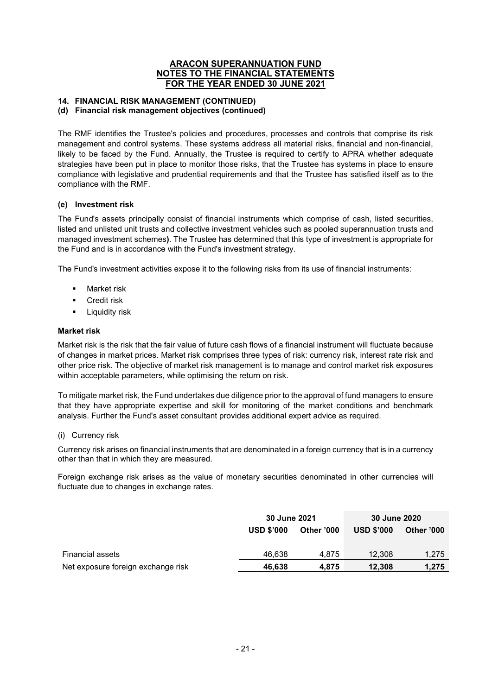## **14. FINANCIAL RISK MANAGEMENT (CONTINUED)**

#### **(d) Financial risk management objectives (continued)**

The RMF identifies the Trustee's policies and procedures, processes and controls that comprise its risk management and control systems. These systems address all material risks, financial and non-financial, likely to be faced by the Fund. Annually, the Trustee is required to certify to APRA whether adequate strategies have been put in place to monitor those risks, that the Trustee has systems in place to ensure compliance with legislative and prudential requirements and that the Trustee has satisfied itself as to the compliance with the RMF.

#### **(e) Investment risk**

The Fund's assets principally consist of financial instruments which comprise of cash, listed securities, listed and unlisted unit trusts and collective investment vehicles such as pooled superannuation trusts and managed investment schemes**)**. The Trustee has determined that this type of investment is appropriate for the Fund and is in accordance with the Fund's investment strategy.

The Fund's investment activities expose it to the following risks from its use of financial instruments:

- **Market risk**
- **Credit risk**
- **-** Liquidity risk

#### **Market risk**

Market risk is the risk that the fair value of future cash flows of a financial instrument will fluctuate because of changes in market prices. Market risk comprises three types of risk: currency risk, interest rate risk and other price risk. The objective of market risk management is to manage and control market risk exposures within acceptable parameters, while optimising the return on risk.

To mitigate market risk, the Fund undertakes due diligence prior to the approval of fund managers to ensure that they have appropriate expertise and skill for monitoring of the market conditions and benchmark analysis. Further the Fund's asset consultant provides additional expert advice as required.

#### (i) Currency risk

Currency risk arises on financial instruments that are denominated in a foreign currency that is in a currency other than that in which they are measured.

Foreign exchange risk arises as the value of monetary securities denominated in other currencies will fluctuate due to changes in exchange rates.

|                                    | 30 June 2021      |            | 30 June 2020      |            |
|------------------------------------|-------------------|------------|-------------------|------------|
|                                    | <b>USD \$'000</b> | Other '000 | <b>USD \$'000</b> | Other '000 |
|                                    |                   |            |                   |            |
| <b>Financial assets</b>            | 46.638            | 4.875      | 12.308            | 1.275      |
| Net exposure foreign exchange risk | 46,638            | 4.875      | 12,308            | 1.275      |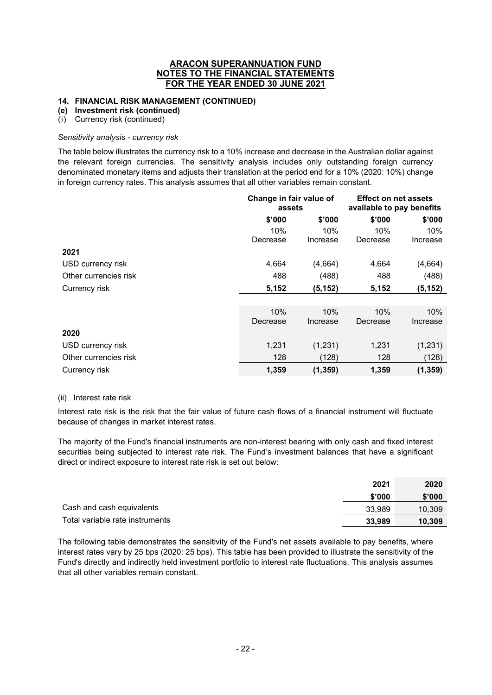## **14. FINANCIAL RISK MANAGEMENT (CONTINUED)**

#### **(e) Investment risk (continued)**

(i) Currency risk (continued)

#### *Sensitivity analysis - currency risk*

The table below illustrates the currency risk to a 10% increase and decrease in the Australian dollar against the relevant foreign currencies. The sensitivity analysis includes only outstanding foreign currency denominated monetary items and adjusts their translation at the period end for a 10% (2020: 10%) change in foreign currency rates. This analysis assumes that all other variables remain constant.

|                       | Change in fair value of<br>assets |          | <b>Effect on net assets</b><br>available to pay benefits |          |
|-----------------------|-----------------------------------|----------|----------------------------------------------------------|----------|
|                       | \$'000                            | \$'000   | \$'000                                                   | \$'000   |
|                       | 10%                               | 10%      | 10%                                                      | 10%      |
|                       | Decrease                          | Increase | Decrease                                                 | Increase |
| 2021                  |                                   |          |                                                          |          |
| USD currency risk     | 4,664                             | (4,664)  | 4,664                                                    | (4,664)  |
| Other currencies risk | 488                               | (488)    | 488                                                      | (488)    |
| Currency risk         | 5,152                             | (5, 152) | 5,152                                                    | (5, 152) |
|                       |                                   |          |                                                          |          |
|                       | 10%                               | 10%      | 10%                                                      | 10%      |
|                       | Decrease                          | Increase | Decrease                                                 | Increase |
| 2020                  |                                   |          |                                                          |          |
| USD currency risk     | 1,231                             | (1,231)  | 1,231                                                    | (1,231)  |
| Other currencies risk | 128                               | (128)    | 128                                                      | (128)    |
| Currency risk         | 1,359                             | (1, 359) | 1,359                                                    | (1, 359) |

#### (ii) Interest rate risk

Interest rate risk is the risk that the fair value of future cash flows of a financial instrument will fluctuate because of changes in market interest rates.

The majority of the Fund's financial instruments are non-interest bearing with only cash and fixed interest securities being subjected to interest rate risk. The Fund's investment balances that have a significant direct or indirect exposure to interest rate risk is set out below:

|                                 | 2021   | 2020   |
|---------------------------------|--------|--------|
|                                 | \$'000 | \$'000 |
| Cash and cash equivalents       | 33.989 | 10,309 |
| Total variable rate instruments | 33,989 | 10.309 |

The following table demonstrates the sensitivity of the Fund's net assets available to pay benefits, where interest rates vary by 25 bps (2020: 25 bps). This table has been provided to illustrate the sensitivity of the Fund's directly and indirectly held investment portfolio to interest rate fluctuations. This analysis assumes that all other variables remain constant.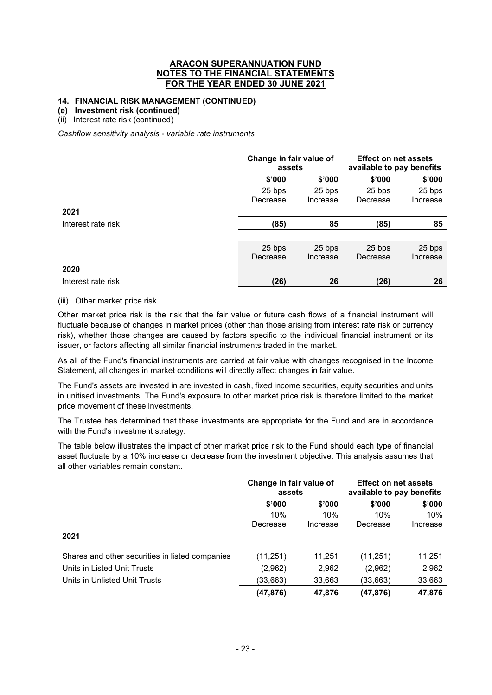#### **14. FINANCIAL RISK MANAGEMENT (CONTINUED)**

#### **(e) Investment risk (continued)**

(ii) Interest rate risk (continued)

*Cashflow sensitivity analysis - variable rate instruments* 

|                    |          | Change in fair value of<br>assets |          | <b>Effect on net assets</b><br>available to pay benefits |
|--------------------|----------|-----------------------------------|----------|----------------------------------------------------------|
|                    | \$'000   | \$'000                            | \$'000   | \$'000                                                   |
|                    | 25 bps   | 25 bps                            | 25 bps   | 25 bps                                                   |
|                    | Decrease | Increase                          | Decrease | Increase                                                 |
| 2021               |          |                                   |          |                                                          |
| Interest rate risk | (85)     | 85                                | (85)     | 85                                                       |
|                    |          |                                   |          |                                                          |
|                    | 25 bps   | 25 bps                            | 25 bps   | 25 bps                                                   |
|                    | Decrease | Increase                          | Decrease | Increase                                                 |
| 2020               |          |                                   |          |                                                          |
| Interest rate risk | (26)     | 26                                | (26)     | 26                                                       |

#### (iii) Other market price risk

Other market price risk is the risk that the fair value or future cash flows of a financial instrument will fluctuate because of changes in market prices (other than those arising from interest rate risk or currency risk), whether those changes are caused by factors specific to the individual financial instrument or its issuer, or factors affecting all similar financial instruments traded in the market.

As all of the Fund's financial instruments are carried at fair value with changes recognised in the Income Statement, all changes in market conditions will directly affect changes in fair value.

The Fund's assets are invested in are invested in cash, fixed income securities, equity securities and units in unitised investments. The Fund's exposure to other market price risk is therefore limited to the market price movement of these investments.

The Trustee has determined that these investments are appropriate for the Fund and are in accordance with the Fund's investment strategy.

The table below illustrates the impact of other market price risk to the Fund should each type of financial asset fluctuate by a 10% increase or decrease from the investment objective. This analysis assumes that all other variables remain constant.

|                                                 | Change in fair value of<br>assets |          | <b>Effect on net assets</b><br>available to pay benefits |          |
|-------------------------------------------------|-----------------------------------|----------|----------------------------------------------------------|----------|
|                                                 | \$'000                            | \$'000   | \$'000                                                   | \$'000   |
|                                                 | 10%                               | 10%      | 10%                                                      | 10%      |
|                                                 | Decrease                          | Increase | Decrease                                                 | Increase |
| 2021                                            |                                   |          |                                                          |          |
| Shares and other securities in listed companies | (11, 251)                         | 11,251   | (11,251)                                                 | 11,251   |
| Units in Listed Unit Trusts                     | (2,962)                           | 2,962    | (2,962)                                                  | 2,962    |
| Units in Unlisted Unit Trusts                   | (33,663)                          | 33,663   | (33,663)                                                 | 33,663   |
|                                                 | (47,876)                          | 47,876   | (47,876)                                                 | 47,876   |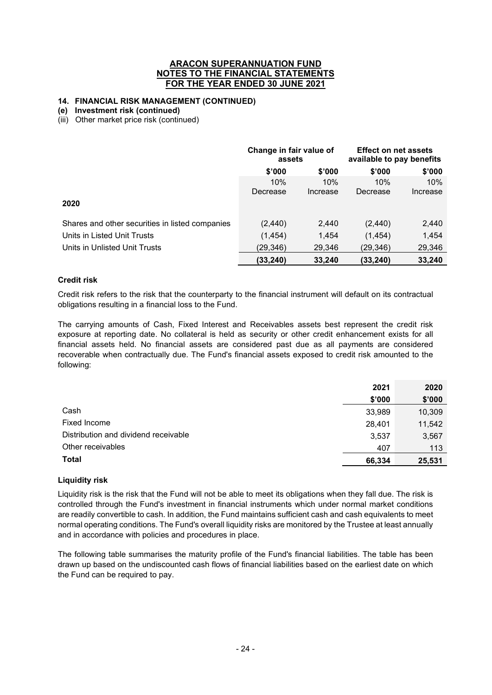# **14. FINANCIAL RISK MANAGEMENT (CONTINUED)**

#### **(e) Investment risk (continued)**

(iii) Other market price risk (continued)

|                                                 | Change in fair value of<br>assets |          | <b>Effect on net assets</b><br>available to pay benefits |          |
|-------------------------------------------------|-----------------------------------|----------|----------------------------------------------------------|----------|
|                                                 | \$'000                            | \$'000   | \$'000                                                   | \$'000   |
|                                                 | 10%                               | 10%      | 10%                                                      | 10%      |
|                                                 | Decrease                          | Increase | Decrease                                                 | Increase |
| 2020                                            |                                   |          |                                                          |          |
| Shares and other securities in listed companies | (2, 440)                          | 2,440    | (2, 440)                                                 | 2,440    |
| Units in Listed Unit Trusts                     | (1, 454)                          | 1,454    | (1, 454)                                                 | 1,454    |
| Units in Unlisted Unit Trusts                   | (29, 346)                         | 29,346   | (29,346)                                                 | 29,346   |
|                                                 | (33, 240)                         | 33,240   | (33, 240)                                                | 33,240   |

#### **Credit risk**

Credit risk refers to the risk that the counterparty to the financial instrument will default on its contractual obligations resulting in a financial loss to the Fund.

The carrying amounts of Cash, Fixed Interest and Receivables assets best represent the credit risk exposure at reporting date. No collateral is held as security or other credit enhancement exists for all financial assets held. No financial assets are considered past due as all payments are considered recoverable when contractually due. The Fund's financial assets exposed to credit risk amounted to the following:

|                                      | 2021   | 2020   |
|--------------------------------------|--------|--------|
|                                      | \$'000 | \$'000 |
| Cash                                 | 33,989 | 10,309 |
| Fixed Income                         | 28.401 | 11,542 |
| Distribution and dividend receivable | 3,537  | 3,567  |
| Other receivables                    | 407    | 113    |
| <b>Total</b>                         | 66,334 | 25,531 |

#### **Liquidity risk**

Liquidity risk is the risk that the Fund will not be able to meet its obligations when they fall due. The risk is controlled through the Fund's investment in financial instruments which under normal market conditions are readily convertible to cash. In addition, the Fund maintains sufficient cash and cash equivalents to meet normal operating conditions. The Fund's overall liquidity risks are monitored by the Trustee at least annually and in accordance with policies and procedures in place.

The following table summarises the maturity profile of the Fund's financial liabilities. The table has been drawn up based on the undiscounted cash flows of financial liabilities based on the earliest date on which the Fund can be required to pay.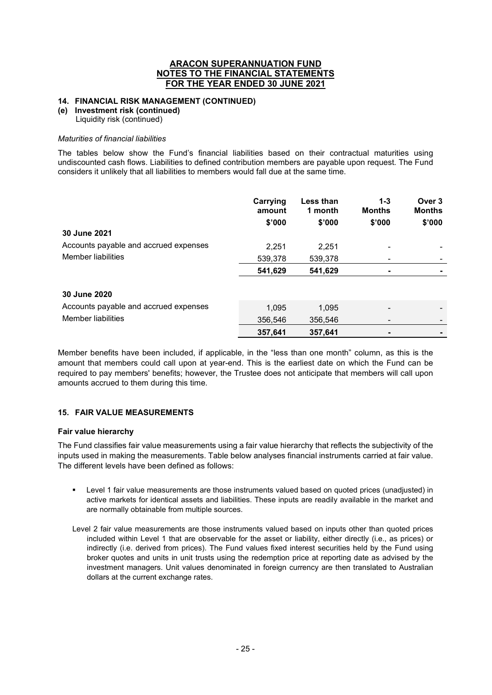#### **14. FINANCIAL RISK MANAGEMENT (CONTINUED)**

#### **(e) Investment risk (continued)**

Liquidity risk (continued)

#### *Maturities of financial liabilities*

The tables below show the Fund's financial liabilities based on their contractual maturities using undiscounted cash flows. Liabilities to defined contribution members are payable upon request. The Fund considers it unlikely that all liabilities to members would fall due at the same time.

|                                       | Carrying<br>amount | <b>Less than</b><br>1 month | $1 - 3$<br><b>Months</b> | Over 3<br><b>Months</b> |
|---------------------------------------|--------------------|-----------------------------|--------------------------|-------------------------|
|                                       | \$'000             | \$'000                      | \$'000                   | \$'000                  |
| 30 June 2021                          |                    |                             |                          |                         |
| Accounts payable and accrued expenses | 2.251              | 2.251                       |                          |                         |
| Member liabilities                    | 539,378            | 539,378                     |                          |                         |
|                                       | 541,629            | 541,629                     |                          |                         |
| 30 June 2020                          |                    |                             |                          |                         |
| Accounts payable and accrued expenses | 1.095              | 1,095                       |                          |                         |
| Member liabilities                    | 356,546            | 356.546                     |                          |                         |
|                                       | 357,641            | 357,641                     |                          |                         |

Member benefits have been included, if applicable, in the "less than one month" column, as this is the amount that members could call upon at year-end. This is the earliest date on which the Fund can be required to pay members' benefits; however, the Trustee does not anticipate that members will call upon amounts accrued to them during this time.

## **15. FAIR VALUE MEASUREMENTS**

#### **Fair value hierarchy**

The Fund classifies fair value measurements using a fair value hierarchy that reflects the subjectivity of the inputs used in making the measurements. Table below analyses financial instruments carried at fair value. The different levels have been defined as follows:

- Level 1 fair value measurements are those instruments valued based on quoted prices (unadjusted) in active markets for identical assets and liabilities. These inputs are readily available in the market and are normally obtainable from multiple sources.
- Level 2 fair value measurements are those instruments valued based on inputs other than quoted prices included within Level 1 that are observable for the asset or liability, either directly (i.e., as prices) or indirectly (i.e. derived from prices). The Fund values fixed interest securities held by the Fund using broker quotes and units in unit trusts using the redemption price at reporting date as advised by the investment managers. Unit values denominated in foreign currency are then translated to Australian dollars at the current exchange rates.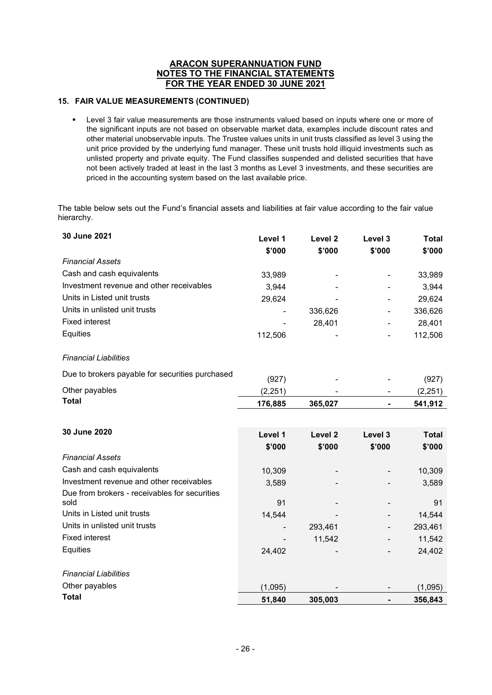# **15. FAIR VALUE MEASUREMENTS (CONTINUED)**

 Level 3 fair value measurements are those instruments valued based on inputs where one or more of the significant inputs are not based on observable market data, examples include discount rates and other material unobservable inputs. The Trustee values units in unit trusts classified as level 3 using the unit price provided by the underlying fund manager. These unit trusts hold illiquid investments such as unlisted property and private equity. The Fund classifies suspended and delisted securities that have not been actively traded at least in the last 3 months as Level 3 investments, and these securities are priced in the accounting system based on the last available price.

The table below sets out the Fund's financial assets and liabilities at fair value according to the fair value hierarchy.

| 30 June 2021                                          | Level 1<br>\$'000 | Level <sub>2</sub><br>\$'000 | Level 3<br>\$'000 | <b>Total</b><br>\$'000 |
|-------------------------------------------------------|-------------------|------------------------------|-------------------|------------------------|
| <b>Financial Assets</b>                               |                   |                              |                   |                        |
| Cash and cash equivalents                             | 33,989            |                              |                   | 33,989                 |
| Investment revenue and other receivables              | 3,944             |                              |                   | 3,944                  |
| Units in Listed unit trusts                           | 29,624            |                              |                   | 29,624                 |
| Units in unlisted unit trusts                         |                   | 336,626                      |                   | 336,626                |
| <b>Fixed interest</b>                                 |                   | 28,401                       |                   | 28,401                 |
| Equities                                              | 112,506           |                              |                   | 112,506                |
| <b>Financial Liabilities</b>                          |                   |                              |                   |                        |
| Due to brokers payable for securities purchased       | (927)             |                              |                   | (927)                  |
| Other payables                                        | (2, 251)          |                              |                   | (2, 251)               |
| <b>Total</b>                                          | 176,885           | 365,027                      |                   | 541,912                |
|                                                       |                   |                              |                   |                        |
| 30 June 2020                                          | Level 1           | Level <sub>2</sub>           | Level 3           | <b>Total</b>           |
|                                                       | \$'000            | \$'000                       | \$'000            | \$'000                 |
| <b>Financial Assets</b>                               |                   |                              |                   |                        |
| Cash and cash equivalents                             | 10,309            |                              |                   | 10,309                 |
| Investment revenue and other receivables              | 3,589             |                              |                   | 3,589                  |
| Due from brokers - receivables for securities<br>sold |                   |                              |                   |                        |
| Units in Listed unit trusts                           | 91                |                              |                   | 91                     |
| Units in unlisted unit trusts                         | 14,544            |                              |                   | 14,544                 |
| <b>Fixed interest</b>                                 |                   | 293,461                      |                   | 293,461                |
| Equities                                              |                   | 11,542                       |                   | 11,542                 |
|                                                       | 24,402            |                              |                   | 24,402                 |
| <b>Financial Liabilities</b>                          |                   |                              |                   |                        |
| Other payables                                        | (1,095)           |                              |                   | (1,095)                |
| <b>Total</b>                                          | 51,840            | 305,003                      |                   | 356,843                |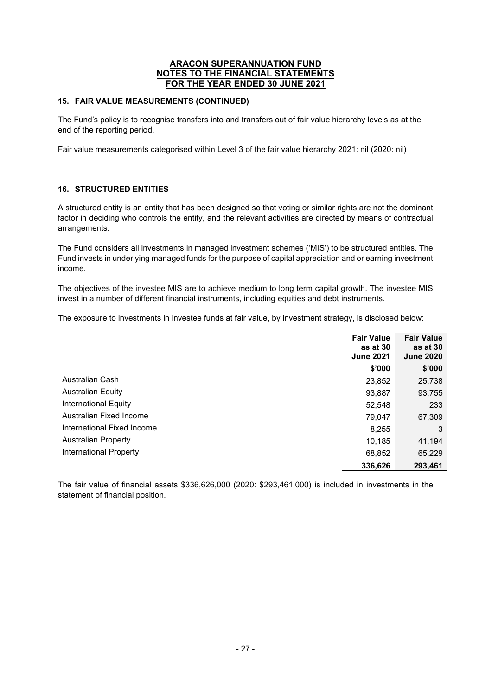## **15. FAIR VALUE MEASUREMENTS (CONTINUED)**

The Fund's policy is to recognise transfers into and transfers out of fair value hierarchy levels as at the end of the reporting period.

Fair value measurements categorised within Level 3 of the fair value hierarchy 2021: nil (2020: nil)

# **16. STRUCTURED ENTITIES**

A structured entity is an entity that has been designed so that voting or similar rights are not the dominant factor in deciding who controls the entity, and the relevant activities are directed by means of contractual arrangements.

The Fund considers all investments in managed investment schemes ('MIS') to be structured entities. The Fund invests in underlying managed funds for the purpose of capital appreciation and or earning investment income.

The objectives of the investee MIS are to achieve medium to long term capital growth. The investee MIS invest in a number of different financial instruments, including equities and debt instruments.

The exposure to investments in investee funds at fair value, by investment strategy, is disclosed below:

|                            | <b>Fair Value</b><br>as at 30<br><b>June 2021</b> | <b>Fair Value</b><br>as at 30<br><b>June 2020</b> |
|----------------------------|---------------------------------------------------|---------------------------------------------------|
|                            | \$'000                                            | \$'000                                            |
| Australian Cash            | 23,852                                            | 25,738                                            |
| <b>Australian Equity</b>   | 93,887                                            | 93,755                                            |
| International Equity       | 52,548                                            | 233                                               |
| Australian Fixed Income    | 79,047                                            | 67,309                                            |
| International Fixed Income | 8,255                                             | 3                                                 |
| <b>Australian Property</b> | 10.185                                            | 41,194                                            |
| International Property     | 68,852                                            | 65,229                                            |
|                            | 336,626                                           | 293,461                                           |

The fair value of financial assets \$336,626,000 (2020: \$293,461,000) is included in investments in the statement of financial position.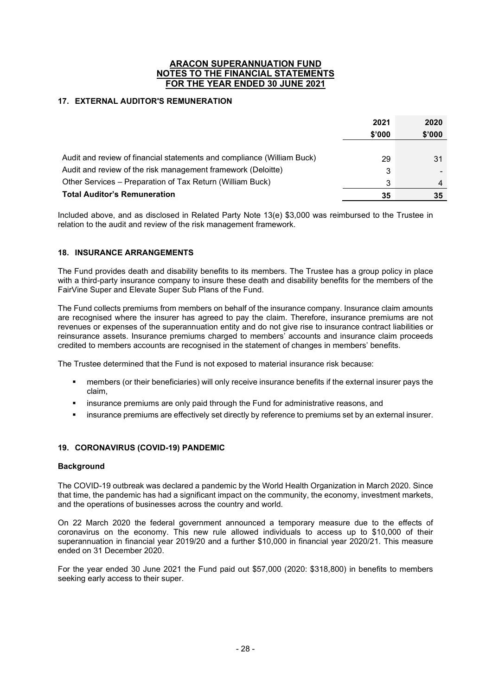# **17. EXTERNAL AUDITOR'S REMUNERATION**

|                                                                        | 2021<br>\$'000 | 2020<br>\$'000 |
|------------------------------------------------------------------------|----------------|----------------|
|                                                                        |                |                |
| Audit and review of financial statements and compliance (William Buck) | 29             | 31             |
| Audit and review of the risk management framework (Deloitte)           | 3              |                |
| Other Services – Preparation of Tax Return (William Buck)              | 3              | $\overline{4}$ |
| <b>Total Auditor's Remuneration</b>                                    | 35             | 35             |

Included above, and as disclosed in Related Party Note 13(e) \$3,000 was reimbursed to the Trustee in relation to the audit and review of the risk management framework.

# **18. INSURANCE ARRANGEMENTS**

The Fund provides death and disability benefits to its members. The Trustee has a group policy in place with a third-party insurance company to insure these death and disability benefits for the members of the FairVine Super and Elevate Super Sub Plans of the Fund.

The Fund collects premiums from members on behalf of the insurance company. Insurance claim amounts are recognised where the insurer has agreed to pay the claim. Therefore, insurance premiums are not revenues or expenses of the superannuation entity and do not give rise to insurance contract liabilities or reinsurance assets. Insurance premiums charged to members' accounts and insurance claim proceeds credited to members accounts are recognised in the statement of changes in members' benefits.

The Trustee determined that the Fund is not exposed to material insurance risk because:

- members (or their beneficiaries) will only receive insurance benefits if the external insurer pays the claim,
- insurance premiums are only paid through the Fund for administrative reasons, and
- insurance premiums are effectively set directly by reference to premiums set by an external insurer.

## **19. CORONAVIRUS (COVID-19) PANDEMIC**

## **Background**

The COVID-19 outbreak was declared a pandemic by the World Health Organization in March 2020. Since that time, the pandemic has had a significant impact on the community, the economy, investment markets, and the operations of businesses across the country and world.

On 22 March 2020 the federal government announced a temporary measure due to the effects of coronavirus on the economy. This new rule allowed individuals to access up to \$10,000 of their superannuation in financial year 2019/20 and a further \$10,000 in financial year 2020/21. This measure ended on 31 December 2020.

For the year ended 30 June 2021 the Fund paid out \$57,000 (2020: \$318,800) in benefits to members seeking early access to their super.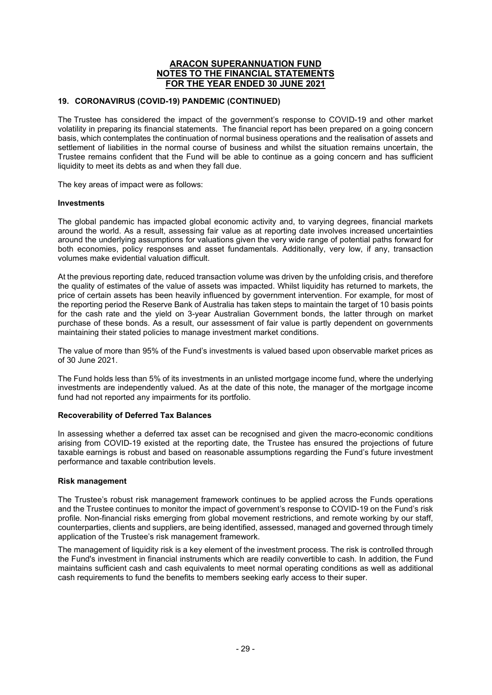## **19. CORONAVIRUS (COVID-19) PANDEMIC (CONTINUED)**

The Trustee has considered the impact of the government's response to COVID-19 and other market volatility in preparing its financial statements. The financial report has been prepared on a going concern basis, which contemplates the continuation of normal business operations and the realisation of assets and settlement of liabilities in the normal course of business and whilst the situation remains uncertain, the Trustee remains confident that the Fund will be able to continue as a going concern and has sufficient liquidity to meet its debts as and when they fall due.

The key areas of impact were as follows:

#### **Investments**

The global pandemic has impacted global economic activity and, to varying degrees, financial markets around the world. As a result, assessing fair value as at reporting date involves increased uncertainties around the underlying assumptions for valuations given the very wide range of potential paths forward for both economies, policy responses and asset fundamentals. Additionally, very low, if any, transaction volumes make evidential valuation difficult.

At the previous reporting date, reduced transaction volume was driven by the unfolding crisis, and therefore the quality of estimates of the value of assets was impacted. Whilst liquidity has returned to markets, the price of certain assets has been heavily influenced by government intervention. For example, for most of the reporting period the Reserve Bank of Australia has taken steps to maintain the target of 10 basis points for the cash rate and the yield on 3-year Australian Government bonds, the latter through on market purchase of these bonds. As a result, our assessment of fair value is partly dependent on governments maintaining their stated policies to manage investment market conditions.

The value of more than 95% of the Fund's investments is valued based upon observable market prices as of 30 June 2021.

The Fund holds less than 5% of its investments in an unlisted mortgage income fund, where the underlying investments are independently valued. As at the date of this note, the manager of the mortgage income fund had not reported any impairments for its portfolio.

## **Recoverability of Deferred Tax Balances**

In assessing whether a deferred tax asset can be recognised and given the macro-economic conditions arising from COVID-19 existed at the reporting date, the Trustee has ensured the projections of future taxable earnings is robust and based on reasonable assumptions regarding the Fund's future investment performance and taxable contribution levels.

## **Risk management**

The Trustee's robust risk management framework continues to be applied across the Funds operations and the Trustee continues to monitor the impact of government's response to COVID-19 on the Fund's risk profile. Non-financial risks emerging from global movement restrictions, and remote working by our staff, counterparties, clients and suppliers, are being identified, assessed, managed and governed through timely application of the Trustee's risk management framework.

The management of liquidity risk is a key element of the investment process. The risk is controlled through the Fund's investment in financial instruments which are readily convertible to cash. In addition, the Fund maintains sufficient cash and cash equivalents to meet normal operating conditions as well as additional cash requirements to fund the benefits to members seeking early access to their super.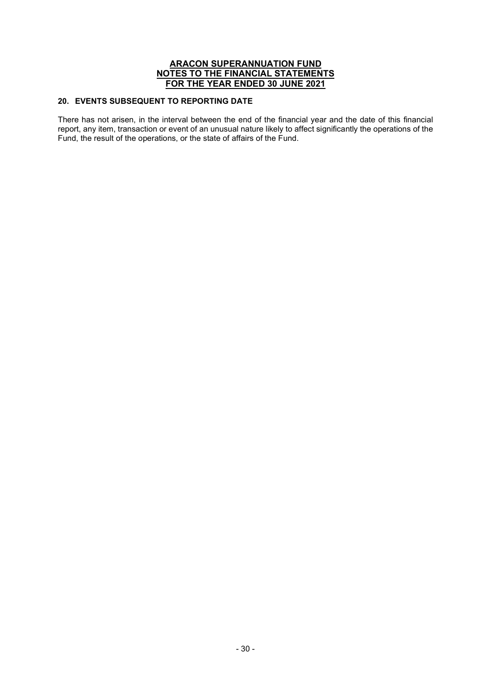# **20. EVENTS SUBSEQUENT TO REPORTING DATE**

There has not arisen, in the interval between the end of the financial year and the date of this financial report, any item, transaction or event of an unusual nature likely to affect significantly the operations of the Fund, the result of the operations, or the state of affairs of the Fund.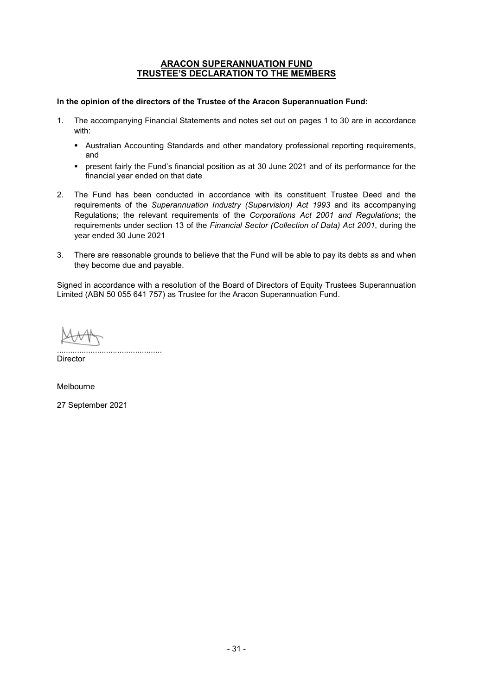## **ARACON SUPERANNUATION FUND TRUSTEE'S DECLARATION TO THE MEMBERS**

#### **In the opinion of the directors of the Trustee of the Aracon Superannuation Fund:**

- 1. The accompanying Financial Statements and notes set out on pages 1 to 30 are in accordance with:
	- Australian Accounting Standards and other mandatory professional reporting requirements, and
	- present fairly the Fund's financial position as at 30 June 2021 and of its performance for the financial year ended on that date
- 2. The Fund has been conducted in accordance with its constituent Trustee Deed and the requirements of the *Superannuation Industry (Supervision) Act 1993* and its accompanying Regulations; the relevant requirements of the *Corporations Act 2001 and Regulations*; the requirements under section 13 of the *Financial Sector (Collection of Data) Act 2001*, during the year ended 30 June 2021
- 3. There are reasonable grounds to believe that the Fund will be able to pay its debts as and when they become due and payable.

Signed in accordance with a resolution of the Board of Directors of Equity Trustees Superannuation Limited (ABN 50 055 641 757) as Trustee for the Aracon Superannuation Fund.

............................................... **Director** 

Melbourne

27 September 2021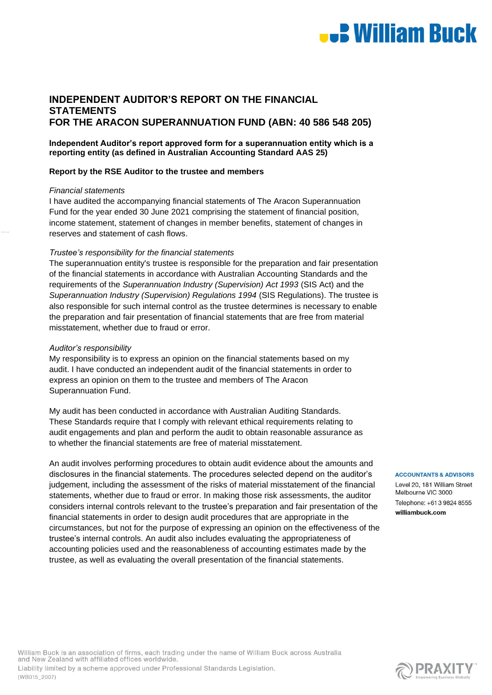

# **INDEPENDENT AUDITOR'S REPORT ON THE FINANCIAL STATEMENTS FOR THE ARACON SUPERANNUATION FUND (ABN: 40 586 548 205)**

**Independent Auditor's report approved form for a superannuation entity which is a reporting entity (as defined in Australian Accounting Standard AAS 25)**

#### **Report by the RSE Auditor to the trustee and members**

#### *Financial statements*

I have audited the accompanying financial statements of The Aracon Superannuation Fund for the year ended 30 June 2021 comprising the statement of financial position, income statement, statement of changes in member benefits, statement of changes in reserves and statement of cash flows.

#### *Trustee's responsibility for the financial statements*

The superannuation entity's trustee is responsible for the preparation and fair presentation of the financial statements in accordance with Australian Accounting Standards and the requirements of the *Superannuation Industry (Supervision) Act 1993* (SIS Act) and the *Superannuation Industry (Supervision) Regulations 1994* (SIS Regulations). The trustee is also responsible for such internal control as the trustee determines is necessary to enable the preparation and fair presentation of financial statements that are free from material misstatement, whether due to fraud or error.

#### *Auditor's responsibility*

My responsibility is to express an opinion on the financial statements based on my audit. I have conducted an independent audit of the financial statements in order to express an opinion on them to the trustee and members of The Aracon Superannuation Fund.

My audit has been conducted in accordance with Australian Auditing Standards. These Standards require that I comply with relevant ethical requirements relating to audit engagements and plan and perform the audit to obtain reasonable assurance as to whether the financial statements are free of material misstatement.

An audit involves performing procedures to obtain audit evidence about the amounts and disclosures in the financial statements. The procedures selected depend on the auditor's judgement, including the assessment of the risks of material misstatement of the financial statements, whether due to fraud or error. In making those risk assessments, the auditor considers internal controls relevant to the trustee's preparation and fair presentation of the financial statements in order to design audit procedures that are appropriate in the circumstances, but not for the purpose of expressing an opinion on the effectiveness of the trustee's internal controls. An audit also includes evaluating the appropriateness of accounting policies used and the reasonableness of accounting estimates made by the trustee, as well as evaluating the overall presentation of the financial statements.

#### **ACCOUNTANTS & ADVISORS**

Level 20, 181 William Street Melbourne VIC 3000 Telephone: +61 3 9824 8555 williambuck.com